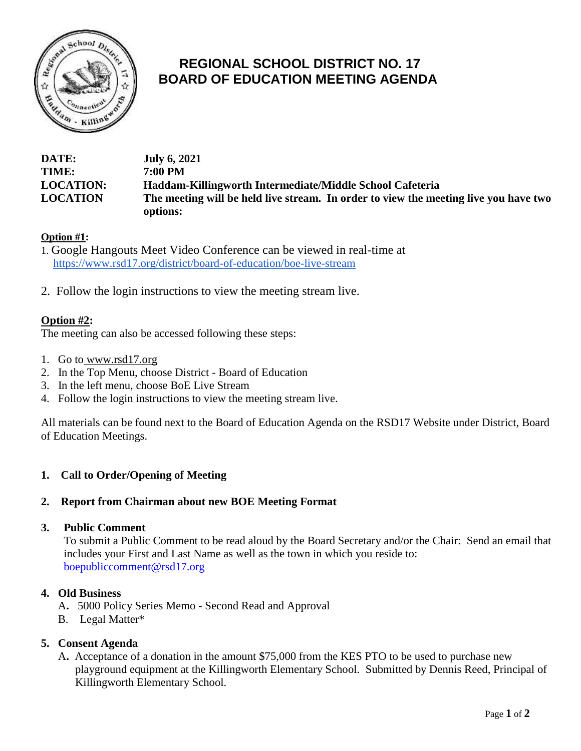

# **REGIONAL SCHOOL DISTRICT NO. 17 BOARD OF EDUCATION MEETING AGENDA**

| <b>DATE:</b>     | <b>July 6, 2021</b>                                                                  |
|------------------|--------------------------------------------------------------------------------------|
| <b>TIME:</b>     | 7:00 PM                                                                              |
| <b>LOCATION:</b> | Haddam-Killingworth Intermediate/Middle School Cafeteria                             |
| <b>LOCATION</b>  | The meeting will be held live stream. In order to view the meeting live you have two |
|                  | options:                                                                             |

## **Option #1:**

- 1. Google Hangouts Meet Video Conference can be viewed in real-time at https://www.rsd17.org/district/board-of-education/boe-live-stream
- 2. Follow the login instructions to view the meeting stream live.

# **Option #2:**

The meeting can also be accessed following these steps:

- 1. Go to [www.rsd17.org](http://www.rsd17.org/)
- 2. In the Top Menu, choose District Board of Education
- 3. In the left menu, choose BoE Live Stream
- 4. Follow the login instructions to view the meeting stream live.

All materials can be found next to the Board of Education Agenda on the RSD17 Website under District, Board of Education Meetings.

## **1. Call to Order/Opening of Meeting**

## **2. Report from Chairman about new BOE Meeting Format**

#### **3. Public Comment**

 To submit a Public Comment to be read aloud by the Board Secretary and/or the Chair: Send an email that includes your First and Last Name as well as the town in which you reside to: [boepubliccomment@rsd17.org](mailto:boepubliccomment@rsd17.org)

#### **4. Old Business**

- A**.** 5000 Policy Series Memo Second Read and Approval
- B. Legal Matter\*

## **5. Consent Agenda**

 A**.** Acceptance of a donation in the amount \$75,000 from the KES PTO to be used to purchase new playground equipment at the Killingworth Elementary School. Submitted by Dennis Reed, Principal of Killingworth Elementary School.